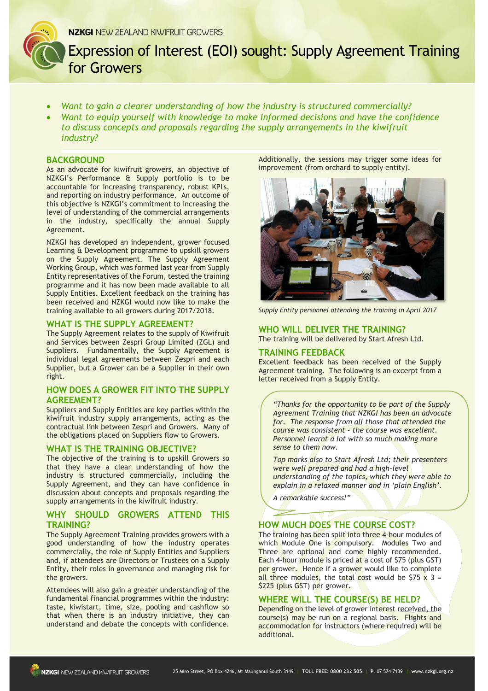Expression of Interest (EOI) sought: Supply Agreement Training for Growers

- *Want to gain a clearer understanding of how the industry is structured commercially?*
- *Want to equip yourself with knowledge to make informed decisions and have the confidence to discuss concepts and proposals regarding the supply arrangements in the kiwifruit industry?*

# **BACKGROUND**

As an advocate for kiwifruit growers, an objective of NZKGI's Performance & Supply portfolio is to be accountable for increasing transparency, robust KPI's, and reporting on industry performance. An outcome of this objective is NZKGI's commitment to increasing the level of understanding of the commercial arrangements in the industry, specifically the annual Supply Agreement.

NZKGI has developed an independent, grower focused Learning & Development programme to upskill growers on the Supply Agreement. The Supply Agreement Working Group, which was formed last year from Supply Entity representatives of the Forum, tested the training programme and it has now been made available to all Supply Entities. Excellent feedback on the training has been received and NZKGI would now like to make the training available to all growers during 2017/2018.

#### **WHAT IS THE SUPPLY AGREEMENT?**

The Supply Agreement relates to the supply of Kiwifruit and Services between Zespri Group Limited (ZGL) and Suppliers. Fundamentally, the Supply Agreement is individual legal agreements between Zespri and each Supplier, but a Grower can be a Supplier in their own right.

# **HOW DOES A GROWER FIT INTO THE SUPPLY AGREEMENT?**

Suppliers and Supply Entities are key parties within the kiwifruit industry supply arrangements, acting as the contractual link between Zespri and Growers. Many of the obligations placed on Suppliers flow to Growers.

### **WHAT IS THE TRAINING OBJECTIVE?**

The objective of the training is to upskill Growers so that they have a clear understanding of how the industry is structured commercially, including the Supply Agreement, and they can have confidence in discussion about concepts and proposals regarding the supply arrangements in the kiwifruit industry.

# **WHY SHOULD GROWERS ATTEND THIS TRAINING?**

The Supply Agreement Training provides growers with a good understanding of how the industry operates commercially, the role of Supply Entities and Suppliers and, if attendees are Directors or Trustees on a Supply Entity, their roles in governance and managing risk for the growers.

Attendees will also gain a greater understanding of the fundamental financial programmes within the industry: taste, kiwistart, time, size, pooling and cashflow so that when there is an industry initiative, they can understand and debate the concepts with confidence. Additionally, the sessions may trigger some ideas for improvement (from orchard to supply entity).



*Supply Entity personnel attending the training in April 2017*

# **WHO WILL DELIVER THE TRAINING?**

The training will be delivered by Start Afresh Ltd.

# **TRAINING FEEDBACK**

Excellent feedback has been received of the Supply Agreement training. The following is an excerpt from a letter received from a Supply Entity.

*"Thanks for the opportunity to be part of the Supply Agreement Training that NZKGI has been an advocate for. The response from all those that attended the course was consistent – the course was excellent. Personnel learnt a lot with so much making more sense to them now.* 

*Top marks also to Start Afresh Ltd; their presenters were well prepared and had a high-level understanding of the topics, which they were able to explain in a relaxed manner and in 'plain English'.*

*A remarkable success!"*

# **HOW MUCH DOES THE COURSE COST?**

The training has been split into three 4-hour modules of which Module One is compulsory. Modules Two and Three are optional and come highly recommended. Each 4-hour module is priced at a cost of \$75 (plus GST) per grower. Hence if a grower would like to complete all three modules, the total cost would be \$75  $\times$  3 = \$225 (plus GST) per grower.

### **WHERE WILL THE COURSE(S) BE HELD?**

Depending on the level of grower interest received, the course(s) may be run on a regional basis. Flights and accommodation for instructors (where required) will be additional.